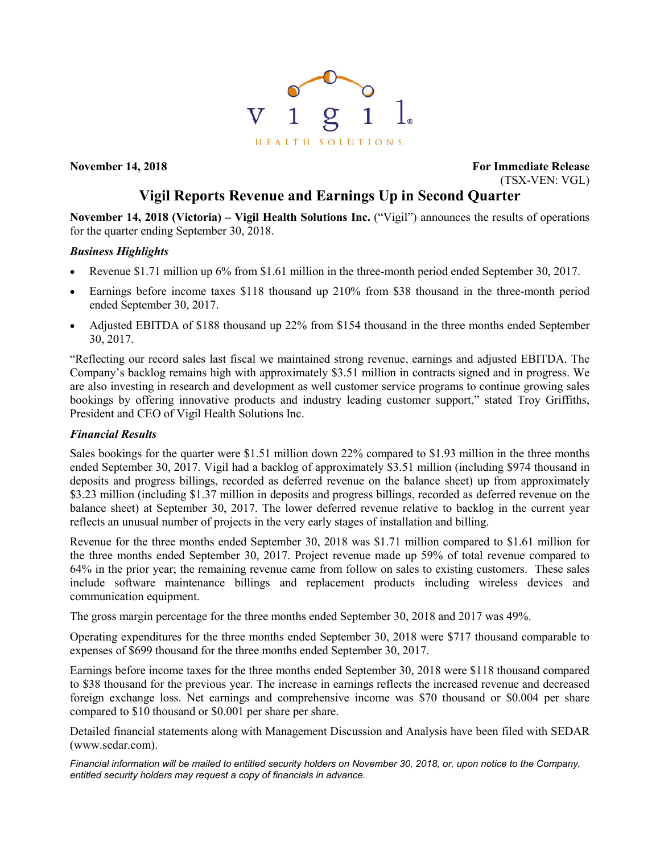

**November 14, 2018 For Immediate Release** (TSX-VEN: VGL)

# **Vigil Reports Revenue and Earnings Up in Second Quarter**

**November 14, 2018 (Victoria) – Vigil Health Solutions Inc.** ("Vigil") announces the results of operations for the quarter ending September 30, 2018.

## *Business Highlights*

- Revenue \$1.71 million up 6% from \$1.61 million in the three-month period ended September 30, 2017.
- Earnings before income taxes \$118 thousand up 210% from \$38 thousand in the three-month period ended September 30, 2017.
- Adjusted EBITDA of \$188 thousand up 22% from \$154 thousand in the three months ended September 30, 2017.

"Reflecting our record sales last fiscal we maintained strong revenue, earnings and adjusted EBITDA. The Company's backlog remains high with approximately \$3.51 million in contracts signed and in progress. We are also investing in research and development as well customer service programs to continue growing sales bookings by offering innovative products and industry leading customer support," stated Troy Griffiths, President and CEO of Vigil Health Solutions Inc.

## *Financial Results*

Sales bookings for the quarter were \$1.51 million down 22% compared to \$1.93 million in the three months ended September 30, 2017. Vigil had a backlog of approximately \$3.51 million (including \$974 thousand in deposits and progress billings, recorded as deferred revenue on the balance sheet) up from approximately \$3.23 million (including \$1.37 million in deposits and progress billings, recorded as deferred revenue on the balance sheet) at September 30, 2017. The lower deferred revenue relative to backlog in the current year reflects an unusual number of projects in the very early stages of installation and billing.

Revenue for the three months ended September 30, 2018 was \$1.71 million compared to \$1.61 million for the three months ended September 30, 2017. Project revenue made up 59% of total revenue compared to 64% in the prior year; the remaining revenue came from follow on sales to existing customers. These sales include software maintenance billings and replacement products including wireless devices and communication equipment.

The gross margin percentage for the three months ended September 30, 2018 and 2017 was 49%.

Operating expenditures for the three months ended September 30, 2018 were \$717 thousand comparable to expenses of \$699 thousand for the three months ended September 30, 2017.

Earnings before income taxes for the three months ended September 30, 2018 were \$118 thousand compared to \$38 thousand for the previous year. The increase in earnings reflects the increased revenue and decreased foreign exchange loss. Net earnings and comprehensive income was \$70 thousand or \$0.004 per share compared to \$10 thousand or \$0.001 per share per share.

Detailed financial statements along with Management Discussion and Analysis have been filed with SEDAR (www.sedar.com).

*Financial information will be mailed to entitled security holders on November 30, 2018, or, upon notice to the Company, entitled security holders may request a copy of financials in advance.*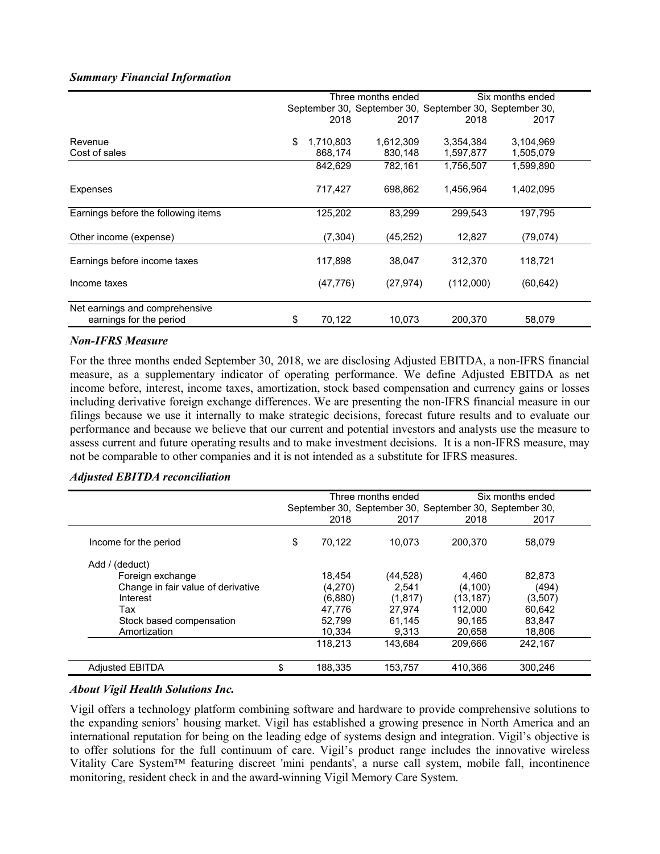#### *Summary Financial Information*

|                                     | Three months ended |           |                                                         | Six months ended |           |  |
|-------------------------------------|--------------------|-----------|---------------------------------------------------------|------------------|-----------|--|
|                                     |                    |           | September 30, September 30, September 30, September 30, |                  |           |  |
|                                     |                    | 2018      | 2017                                                    | 2018             | 2017      |  |
|                                     |                    |           |                                                         |                  |           |  |
| Revenue                             | \$                 | 1,710,803 | 1,612,309                                               | 3,354,384        | 3,104,969 |  |
| Cost of sales                       |                    | 868,174   | 830,148                                                 | 1,597,877        | 1,505,079 |  |
|                                     |                    | 842,629   | 782,161                                                 | 1,756,507        | 1,599,890 |  |
| Expenses                            |                    | 717,427   | 698,862                                                 | 1,456,964        | 1,402,095 |  |
| Earnings before the following items |                    | 125,202   | 83,299                                                  | 299.543          | 197.795   |  |
| Other income (expense)              |                    | (7, 304)  | (45,252)                                                | 12,827           | (79,074)  |  |
| Earnings before income taxes        |                    | 117,898   | 38,047                                                  | 312,370          | 118,721   |  |
| Income taxes                        |                    | (47, 776) | (27, 974)                                               | (112,000)        | (60, 642) |  |
| Net earnings and comprehensive      |                    |           |                                                         |                  |           |  |
| earnings for the period             | \$                 | 70,122    | 10,073                                                  | 200,370          | 58,079    |  |

#### *Non-IFRS Measure*

For the three months ended September 30, 2018, we are disclosing Adjusted EBITDA, a non-IFRS financial measure, as a supplementary indicator of operating performance. We define Adjusted EBITDA as net income before, interest, income taxes, amortization, stock based compensation and currency gains or losses including derivative foreign exchange differences. We are presenting the non-IFRS financial measure in our filings because we use it internally to make strategic decisions, forecast future results and to evaluate our performance and because we believe that our current and potential investors and analysts use the measure to assess current and future operating results and to make investment decisions. It is a non-IFRS measure, may not be comparable to other companies and it is not intended as a substitute for IFRS measures.

### *Adjusted EBITDA reconciliation*

|                                    |                                                         | Six months ended<br>Three months ended |           |           |         |  |
|------------------------------------|---------------------------------------------------------|----------------------------------------|-----------|-----------|---------|--|
|                                    | September 30, September 30, September 30, September 30, |                                        |           |           |         |  |
|                                    |                                                         | 2018                                   | 2017      | 2018      | 2017    |  |
| Income for the period              | \$                                                      | 70.122                                 | 10.073    | 200.370   | 58.079  |  |
| Add / (deduct)                     |                                                         |                                        |           |           |         |  |
| Foreign exchange                   |                                                         | 18.454                                 | (44, 528) | 4.460     | 82,873  |  |
| Change in fair value of derivative |                                                         | (4,270)                                | 2.541     | (4, 100)  | (494)   |  |
| Interest                           |                                                         | (6,880)                                | (1,817)   | (13, 187) | (3,507) |  |
| Tax                                |                                                         | 47.776                                 | 27.974    | 112.000   | 60.642  |  |
| Stock based compensation           |                                                         | 52,799                                 | 61,145    | 90.165    | 83,847  |  |
| Amortization                       |                                                         | 10,334                                 | 9.313     | 20.658    | 18,806  |  |
|                                    |                                                         | 118.213                                | 143.684   | 209.666   | 242.167 |  |
| <b>Adjusted EBITDA</b>             | \$                                                      | 188,335                                | 153,757   | 410.366   | 300,246 |  |

#### *About Vigil Health Solutions Inc.*

Vigil offers a technology platform combining software and hardware to provide comprehensive solutions to the expanding seniors' housing market. Vigil has established a growing presence in North America and an international reputation for being on the leading edge of systems design and integration. Vigil's objective is to offer solutions for the full continuum of care. Vigil's product range includes the innovative wireless Vitality Care System™ featuring discreet 'mini pendants', a nurse call system, mobile fall, incontinence monitoring, resident check in and the award-winning Vigil Memory Care System.